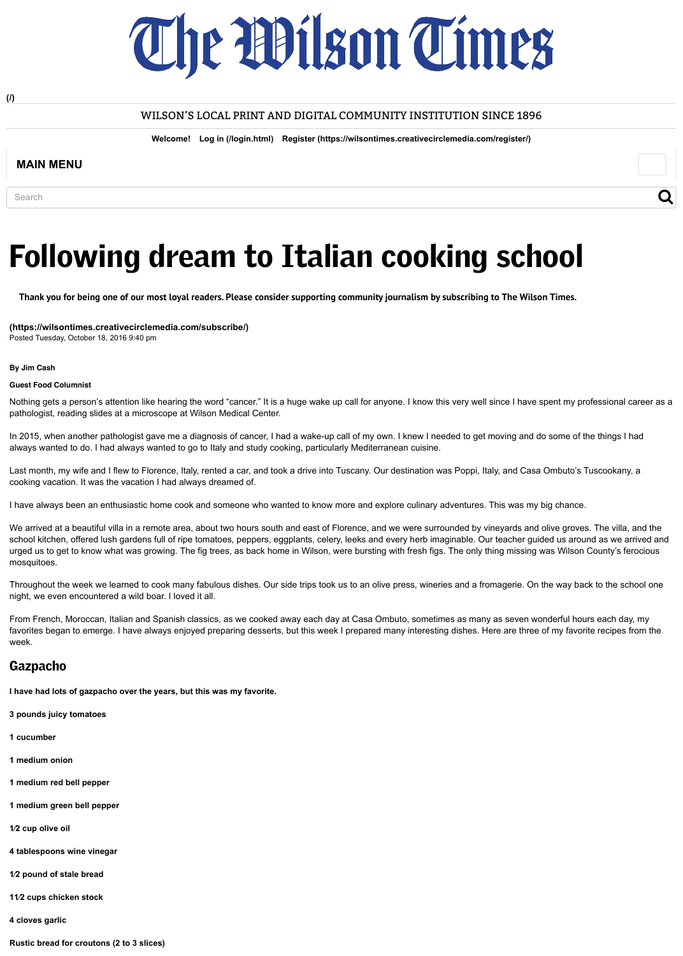

**[\(/\)](http://www.wilsontimes.com/)**

#### WILSON'S LOCAL PRINT AND DIGITAL COMMUNITY INSTITUTION SINCE 1896

**Welcome! [Log in \(/login.html\)](http://www.wilsontimes.com/login.html) [Register \(https://wilsontimes.creativecirclemedia.com/register/\)](https://wilsontimes.creativecirclemedia.com/register/)**

### **MAIN MENU**

**Search** 

## $\overline{\mathsf{Q}}$

# Following dream to Italian cooking school

**[Thank you for being one of our most loyal readers. Please consider supporting community journalism by subscribing to The Wilson Times.](https://wilsontimes.creativecirclemedia.com/subscribe/)**

**(https://wilsontimes.creativecirclemedia.com/subscribe/)** Posted Tuesday, October 18, 2016 9:40 pm

#### **By Jim Cash**

#### **Guest Food Columnist**

Nothing gets a person's attention like hearing the word "cancer." It is a huge wake up call for anyone. I know this very well since I have spent my professional career as a pathologist, reading slides at a microscope at Wilson Medical Center.

In 2015, when another pathologist gave me a diagnosis of cancer, I had a wake-up call of my own. I knew I needed to get moving and do some of the things I had always wanted to do. I had always wanted to go to Italy and study cooking, particularly Mediterranean cuisine.

Last month, my wife and I flew to Florence, Italy, rented a car, and took a drive into Tuscany. Our destination was Poppi, Italy, and Casa Ombuto's Tuscookany, a cooking vacation. It was the vacation I had always dreamed of.

I have always been an enthusiastic home cook and someone who wanted to know more and explore culinary adventures. This was my big chance.

We arrived at a beautiful villa in a remote area, about two hours south and east of Florence, and we were surrounded by vineyards and olive groves. The villa, and the school kitchen, offered lush gardens full of ripe tomatoes, peppers, eggplants, celery, leeks and every herb imaginable. Our teacher guided us around as we arrived and urged us to get to know what was growing. The fig trees, as back home in Wilson, were bursting with fresh figs. The only thing missing was Wilson County's ferocious mosquitoes.

Throughout the week we learned to cook many fabulous dishes. Our side trips took us to an olive press, wineries and a fromagerie. On the way back to the school one night, we even encountered a wild boar. I loved it all.

From French, Moroccan, Italian and Spanish classics, as we cooked away each day at Casa Ombuto, sometimes as many as seven wonderful hours each day, my favorites began to emerge. I have always enjoyed preparing desserts, but this week I prepared many interesting dishes. Here are three of my favorite recipes from the week.

## **Gazpacho**

**I have had lots of gazpacho over the years, but this was my favorite.**

**3 pounds juicy tomatoes**

**1 cucumber**

**1 medium onion**

**1 medium red bell pepper**

**1 medium green bell pepper**

**1⁄2 cup olive oil**

**4 tablespoons wine vinegar**

**1⁄2 pound of stale bread**

**11⁄2 cups chicken stock**

**4 cloves garlic**

**Rustic bread for croutons (2 to 3 slices)**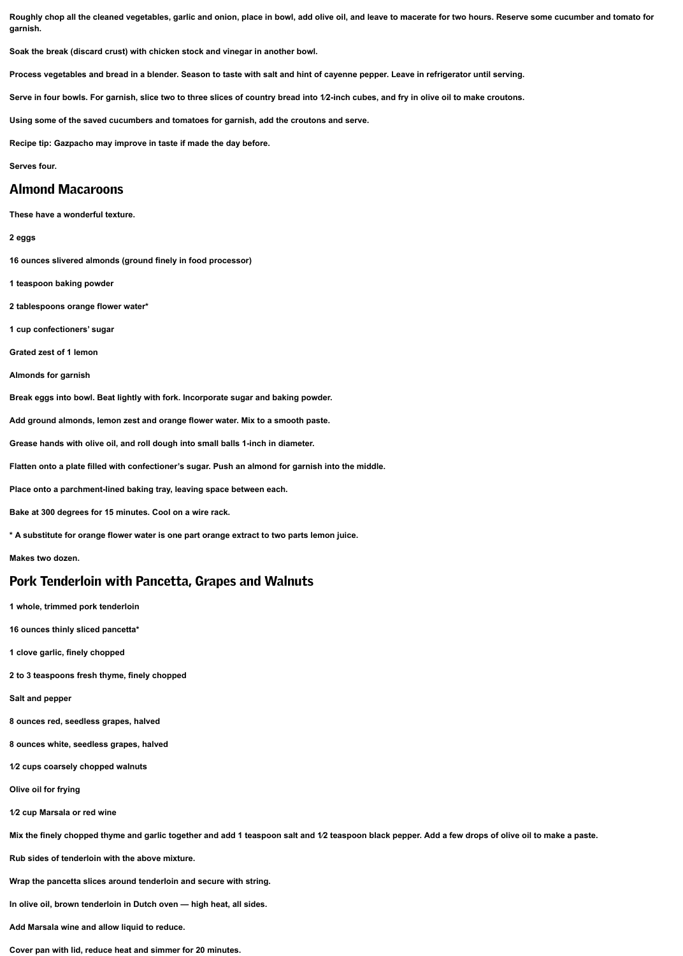**Roughly chop all the cleaned vegetables, garlic and onion, place in bowl, add olive oil, and leave to macerate for two hours. Reserve some cucumber and tomato for garnish.**

**Soak the break (discard crust) with chicken stock and vinegar in another bowl.**

**Process vegetables and bread in a blender. Season to taste with salt and hint of cayenne pepper. Leave in refrigerator until serving.**

**Serve in four bowls. For garnish, slice two to three slices of country bread into 1⁄2-inch cubes, and fry in olive oil to make croutons.**

**Using some of the saved cucumbers and tomatoes for garnish, add the croutons and serve.**

**Recipe tip: Gazpacho may improve in taste if made the day before.**

**Serves four.**

## Almond Macaroons

**These have a wonderful texture.**

#### **2 eggs**

**16 ounces slivered almonds (ground finely in food processor)**

**1 teaspoon baking powder**

**2 tablespoons orange flower water\***

**1 cup confectioners' sugar**

**Grated zest of 1 lemon**

**Almonds for garnish**

**Break eggs into bowl. Beat lightly with fork. Incorporate sugar and baking powder.**

**Add ground almonds, lemon zest and orange flower water. Mix to a smooth paste.**

**Grease hands with olive oil, and roll dough into small balls 1-inch in diameter.**

**Flatten onto a plate filled with confectioner's sugar. Push an almond for garnish into the middle.**

**Place onto a parchment-lined baking tray, leaving space between each.**

**Bake at 300 degrees for 15 minutes. Cool on a wire rack.**

**\* A substitute for orange flower water is one part orange extract to two parts lemon juice.**

**Makes two dozen.**

## Pork Tenderloin with Pancetta, Grapes and Walnuts

**1 whole, trimmed pork tenderloin**

**16 ounces thinly sliced pancetta\***

**1 clove garlic, finely chopped**

**2 to 3 teaspoons fresh thyme, finely chopped** 

**Salt and pepper**

**8 ounces red, seedless grapes, halved**

**8 ounces white, seedless grapes, halved**

**1⁄2 cups coarsely chopped walnuts**

**Olive oil for frying**

**1⁄2 cup Marsala or red wine** 

**Mix the finely chopped thyme and garlic together and add 1 teaspoon salt and 1⁄2 teaspoon black pepper. Add a few drops of olive oil to make a paste.**

**Rub sides of tenderloin with the above mixture.**

**Wrap the pancetta slices around tenderloin and secure with string.**

**In olive oil, brown tenderloin in Dutch oven — high heat, all sides.**

**Add Marsala wine and allow liquid to reduce.**

**Cover pan with lid, reduce heat and simmer for 20 minutes.**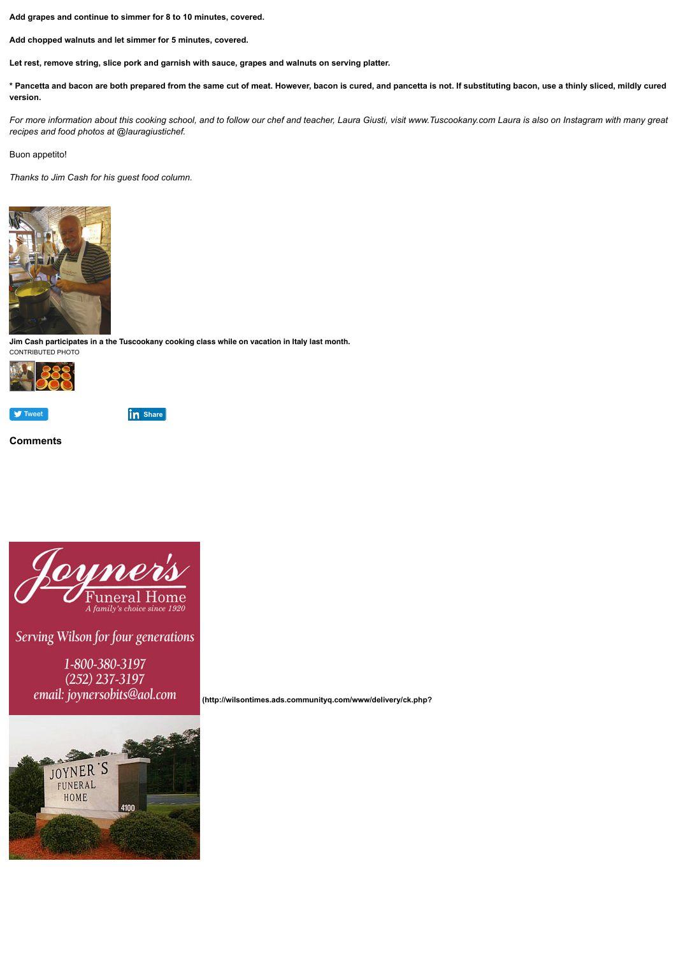

**in** [Share](javascript:void(0);)

**Add grapes and continue to simmer for 8 to 10 minutes, covered.**

**Add chopped walnuts and let simmer for 5 minutes, covered.**

**Let rest, remove string, slice pork and garnish with sauce, grapes and walnuts on serving platter.**

**\* Pancetta and bacon are both prepared from the same cut of meat. However, bacon is cured, and pancetta is not. If substituting bacon, use a thinly sliced, mildly cured version.**

*For more information about this cooking school, and to follow our chef and teacher, Laura Giusti, visit www.Tuscookany.com Laura is also on Instagram with many great recipes and food photos at @lauragiustichef.* 

Buon appetito!

*Thanks to Jim Cash for his guest food column.*



**Jim Cash participates in a the Tuscookany cooking class while on vacation in Italy last month.** CONTRIBUTED PHOTO



**Comments**



# Serving Wilson for four generations

1-800-380-3197  $(252)$  237-3197 email: joynersobits@aol.com



 **[\(http://wilsontimes.ads.communityq.com/www/delivery/ck.php?](http://wilsontimes.ads.communityq.com/www/delivery/ck.php?oaparams=2__bannerid=11__zoneid=9__cb=1e11d7eda9__oadest=http%3A%2F%2Fwww.joyners.net%2F)**